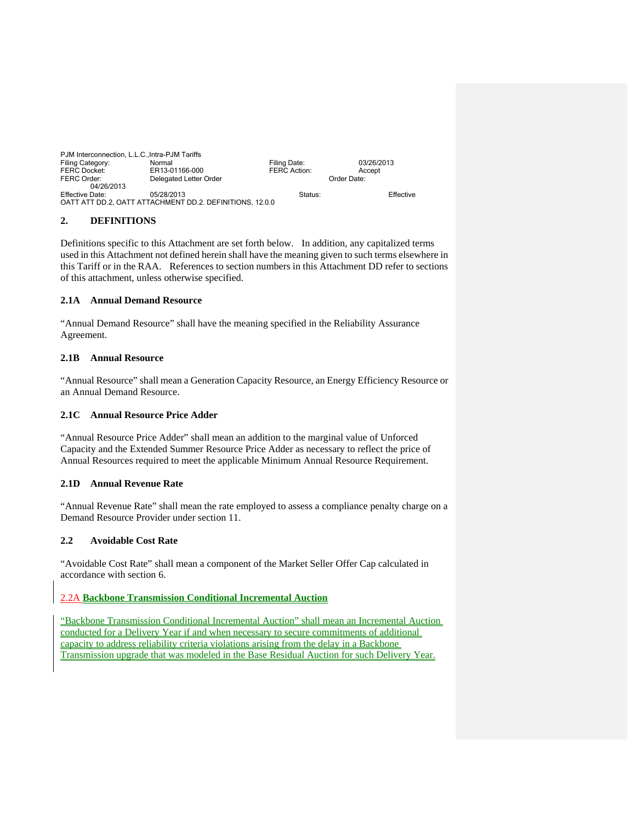| PJM Interconnection, L.L.C., Intra-PJM Tariffs |                                                          |              |             |  |
|------------------------------------------------|----------------------------------------------------------|--------------|-------------|--|
| Filing Category:                               | Normal                                                   | Filing Date: | 03/26/2013  |  |
| <b>FERC Docket:</b>                            | ER13-01166-000                                           | FERC Action: | Accept      |  |
| FERC Order:                                    | Delegated Letter Order                                   |              | Order Date: |  |
| 04/26/2013                                     |                                                          |              |             |  |
| Effective Date:                                | 05/28/2013                                               | Status:      | Effective   |  |
|                                                | OATT ATT DD.2, OATT ATTACHMENT DD.2. DEFINITIONS, 12.0.0 |              |             |  |

## **2. DEFINITIONS**

Definitions specific to this Attachment are set forth below. In addition, any capitalized terms used in this Attachment not defined herein shall have the meaning given to such terms elsewhere in this Tariff or in the RAA. References to section numbers in this Attachment DD refer to sections of this attachment, unless otherwise specified.

## **2.1A Annual Demand Resource**

"Annual Demand Resource" shall have the meaning specified in the Reliability Assurance Agreement.

# **2.1B Annual Resource**

"Annual Resource" shall mean a Generation Capacity Resource, an Energy Efficiency Resource or an Annual Demand Resource.

## **2.1C Annual Resource Price Adder**

"Annual Resource Price Adder" shall mean an addition to the marginal value of Unforced Capacity and the Extended Summer Resource Price Adder as necessary to reflect the price of Annual Resources required to meet the applicable Minimum Annual Resource Requirement.

## **2.1D Annual Revenue Rate**

"Annual Revenue Rate" shall mean the rate employed to assess a compliance penalty charge on a Demand Resource Provider under section 11.

# **2.2 Avoidable Cost Rate**

"Avoidable Cost Rate" shall mean a component of the Market Seller Offer Cap calculated in accordance with section 6.

# 2.2A **Backbone Transmission Conditional Incremental Auction**

"Backbone Transmission Conditional Incremental Auction" shall mean an Incremental Auction conducted for a Delivery Year if and when necessary to secure commitments of additional capacity to address reliability criteria violations arising from the delay in a Backbone Transmission upgrade that was modeled in the Base Residual Auction for such Delivery Year.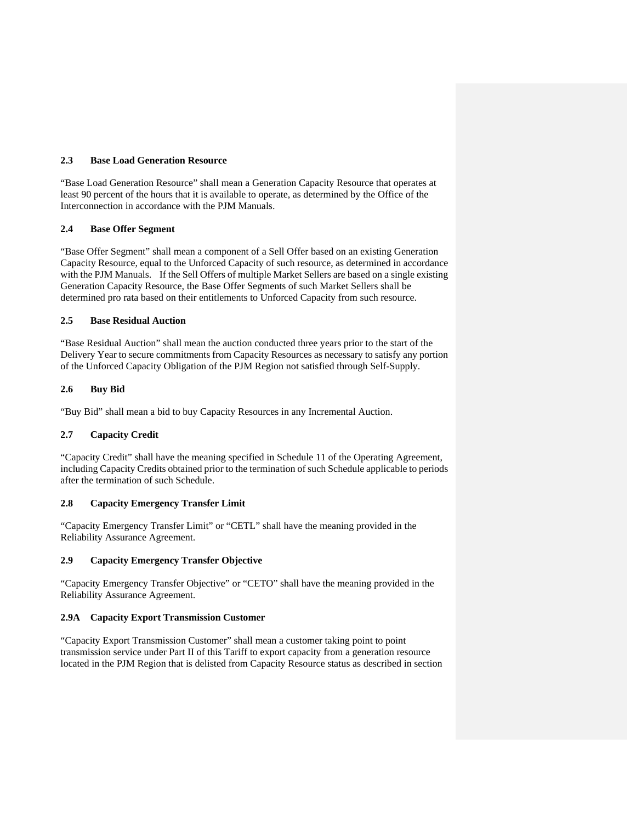## **2.3 Base Load Generation Resource**

"Base Load Generation Resource" shall mean a Generation Capacity Resource that operates at least 90 percent of the hours that it is available to operate, as determined by the Office of the Interconnection in accordance with the PJM Manuals.

## **2.4 Base Offer Segment**

"Base Offer Segment" shall mean a component of a Sell Offer based on an existing Generation Capacity Resource, equal to the Unforced Capacity of such resource, as determined in accordance with the PJM Manuals. If the Sell Offers of multiple Market Sellers are based on a single existing Generation Capacity Resource, the Base Offer Segments of such Market Sellers shall be determined pro rata based on their entitlements to Unforced Capacity from such resource.

### **2.5 Base Residual Auction**

"Base Residual Auction" shall mean the auction conducted three years prior to the start of the Delivery Year to secure commitments from Capacity Resources as necessary to satisfy any portion of the Unforced Capacity Obligation of the PJM Region not satisfied through Self-Supply.

### **2.6 Buy Bid**

"Buy Bid" shall mean a bid to buy Capacity Resources in any Incremental Auction.

# **2.7 Capacity Credit**

"Capacity Credit" shall have the meaning specified in Schedule 11 of the Operating Agreement, including Capacity Credits obtained prior to the termination of such Schedule applicable to periods after the termination of such Schedule.

## **2.8 Capacity Emergency Transfer Limit**

"Capacity Emergency Transfer Limit" or "CETL" shall have the meaning provided in the Reliability Assurance Agreement.

## **2.9 Capacity Emergency Transfer Objective**

"Capacity Emergency Transfer Objective" or "CETO" shall have the meaning provided in the Reliability Assurance Agreement.

### **2.9A Capacity Export Transmission Customer**

"Capacity Export Transmission Customer" shall mean a customer taking point to point transmission service under Part II of this Tariff to export capacity from a generation resource located in the PJM Region that is delisted from Capacity Resource status as described in section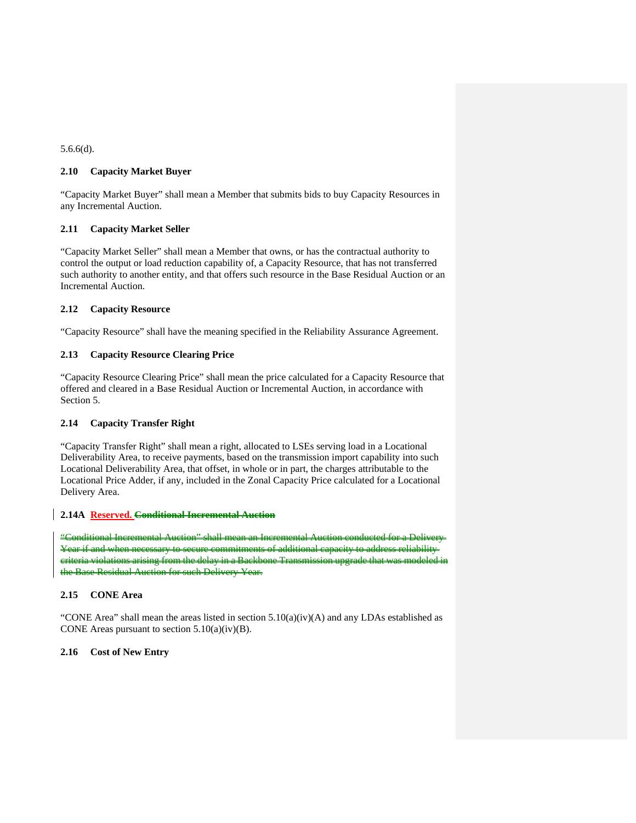### 5.6.6(d).

### **2.10 Capacity Market Buyer**

"Capacity Market Buyer" shall mean a Member that submits bids to buy Capacity Resources in any Incremental Auction.

### **2.11 Capacity Market Seller**

"Capacity Market Seller" shall mean a Member that owns, or has the contractual authority to control the output or load reduction capability of, a Capacity Resource, that has not transferred such authority to another entity, and that offers such resource in the Base Residual Auction or an Incremental Auction.

### **2.12 Capacity Resource**

"Capacity Resource" shall have the meaning specified in the Reliability Assurance Agreement.

## **2.13 Capacity Resource Clearing Price**

"Capacity Resource Clearing Price" shall mean the price calculated for a Capacity Resource that offered and cleared in a Base Residual Auction or Incremental Auction, in accordance with Section 5.

## **2.14 Capacity Transfer Right**

"Capacity Transfer Right" shall mean a right, allocated to LSEs serving load in a Locational Deliverability Area, to receive payments, based on the transmission import capability into such Locational Deliverability Area, that offset, in whole or in part, the charges attributable to the Locational Price Adder, if any, included in the Zonal Capacity Price calculated for a Locational Delivery Area.

### **2.14A Reserved. Conditional Incremental Auction**

"Conditional Incremental Auction" shall mean an Incremental Year if and when necessary to secure commitments of additional capacity criteria violations arising from the delay in a Backbone Transmis the Base Residual Auction for such Delivery Year.

## **2.15 CONE Area**

"CONE Area" shall mean the areas listed in section 5.10(a)(iv)(A) and any LDAs established as CONE Areas pursuant to section  $5.10(a)(iv)(B)$ .

#### **2.16 Cost of New Entry**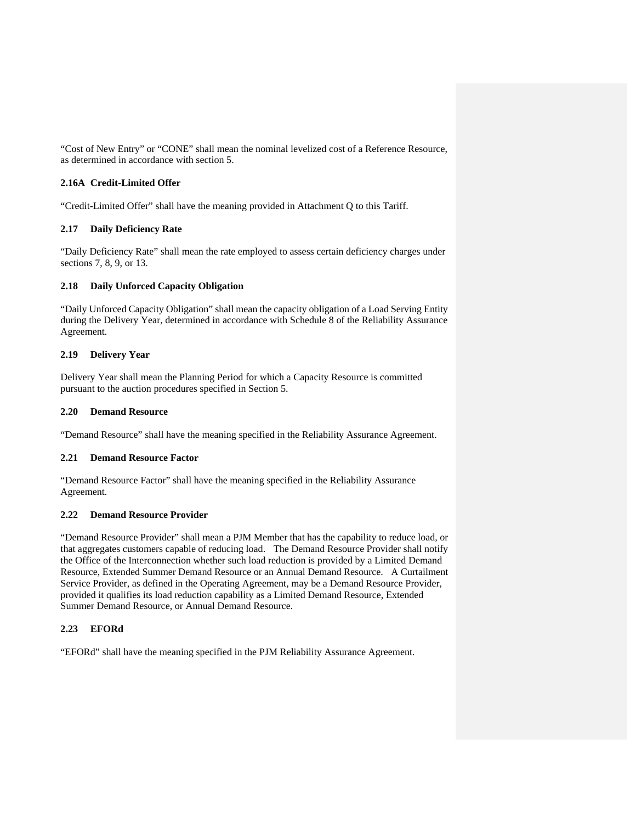"Cost of New Entry" or "CONE" shall mean the nominal levelized cost of a Reference Resource, as determined in accordance with section 5.

## **2.16A Credit-Limited Offer**

"Credit-Limited Offer" shall have the meaning provided in Attachment Q to this Tariff.

## **2.17 Daily Deficiency Rate**

"Daily Deficiency Rate" shall mean the rate employed to assess certain deficiency charges under sections 7, 8, 9, or 13.

# **2.18 Daily Unforced Capacity Obligation**

"Daily Unforced Capacity Obligation" shall mean the capacity obligation of a Load Serving Entity during the Delivery Year, determined in accordance with Schedule 8 of the Reliability Assurance Agreement.

## **2.19 Delivery Year**

Delivery Year shall mean the Planning Period for which a Capacity Resource is committed pursuant to the auction procedures specified in Section 5.

### **2.20 Demand Resource**

"Demand Resource" shall have the meaning specified in the Reliability Assurance Agreement.

#### **2.21 Demand Resource Factor**

"Demand Resource Factor" shall have the meaning specified in the Reliability Assurance Agreement.

# **2.22 Demand Resource Provider**

"Demand Resource Provider" shall mean a PJM Member that has the capability to reduce load, or that aggregates customers capable of reducing load. The Demand Resource Provider shall notify the Office of the Interconnection whether such load reduction is provided by a Limited Demand Resource, Extended Summer Demand Resource or an Annual Demand Resource. A Curtailment Service Provider, as defined in the Operating Agreement, may be a Demand Resource Provider, provided it qualifies its load reduction capability as a Limited Demand Resource, Extended Summer Demand Resource, or Annual Demand Resource.

#### **2.23 EFORd**

"EFORd" shall have the meaning specified in the PJM Reliability Assurance Agreement.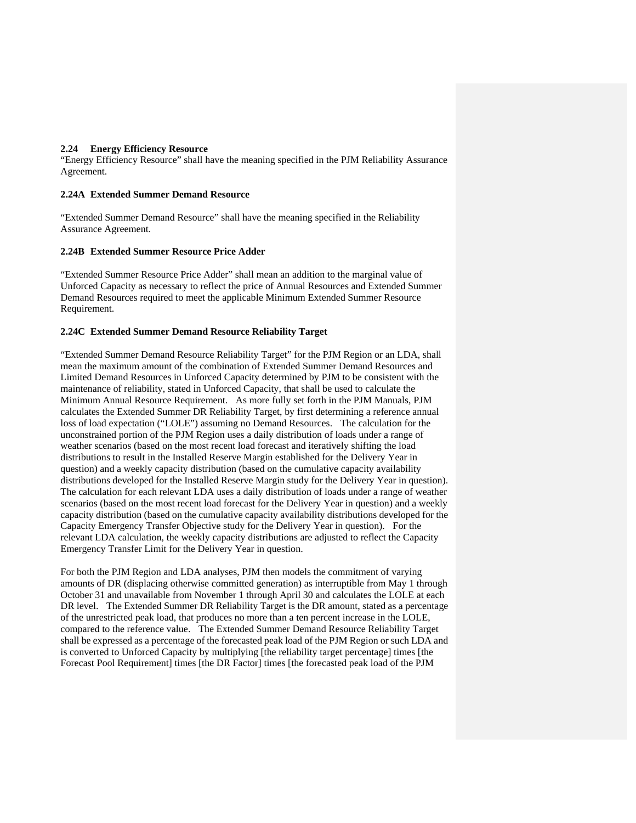## **2.24 Energy Efficiency Resource**

"Energy Efficiency Resource" shall have the meaning specified in the PJM Reliability Assurance Agreement.

#### **2.24A Extended Summer Demand Resource**

"Extended Summer Demand Resource" shall have the meaning specified in the Reliability Assurance Agreement.

#### **2.24B Extended Summer Resource Price Adder**

"Extended Summer Resource Price Adder" shall mean an addition to the marginal value of Unforced Capacity as necessary to reflect the price of Annual Resources and Extended Summer Demand Resources required to meet the applicable Minimum Extended Summer Resource Requirement.

#### **2.24C Extended Summer Demand Resource Reliability Target**

"Extended Summer Demand Resource Reliability Target" for the PJM Region or an LDA, shall mean the maximum amount of the combination of Extended Summer Demand Resources and Limited Demand Resources in Unforced Capacity determined by PJM to be consistent with the maintenance of reliability, stated in Unforced Capacity, that shall be used to calculate the Minimum Annual Resource Requirement. As more fully set forth in the PJM Manuals, PJM calculates the Extended Summer DR Reliability Target, by first determining a reference annual loss of load expectation ("LOLE") assuming no Demand Resources. The calculation for the unconstrained portion of the PJM Region uses a daily distribution of loads under a range of weather scenarios (based on the most recent load forecast and iteratively shifting the load distributions to result in the Installed Reserve Margin established for the Delivery Year in question) and a weekly capacity distribution (based on the cumulative capacity availability distributions developed for the Installed Reserve Margin study for the Delivery Year in question). The calculation for each relevant LDA uses a daily distribution of loads under a range of weather scenarios (based on the most recent load forecast for the Delivery Year in question) and a weekly capacity distribution (based on the cumulative capacity availability distributions developed for the Capacity Emergency Transfer Objective study for the Delivery Year in question). For the relevant LDA calculation, the weekly capacity distributions are adjusted to reflect the Capacity Emergency Transfer Limit for the Delivery Year in question.

For both the PJM Region and LDA analyses, PJM then models the commitment of varying amounts of DR (displacing otherwise committed generation) as interruptible from May 1 through October 31 and unavailable from November 1 through April 30 and calculates the LOLE at each DR level. The Extended Summer DR Reliability Target is the DR amount, stated as a percentage of the unrestricted peak load, that produces no more than a ten percent increase in the LOLE, compared to the reference value. The Extended Summer Demand Resource Reliability Target shall be expressed as a percentage of the forecasted peak load of the PJM Region or such LDA and is converted to Unforced Capacity by multiplying [the reliability target percentage] times [the Forecast Pool Requirement] times [the DR Factor] times [the forecasted peak load of the PJM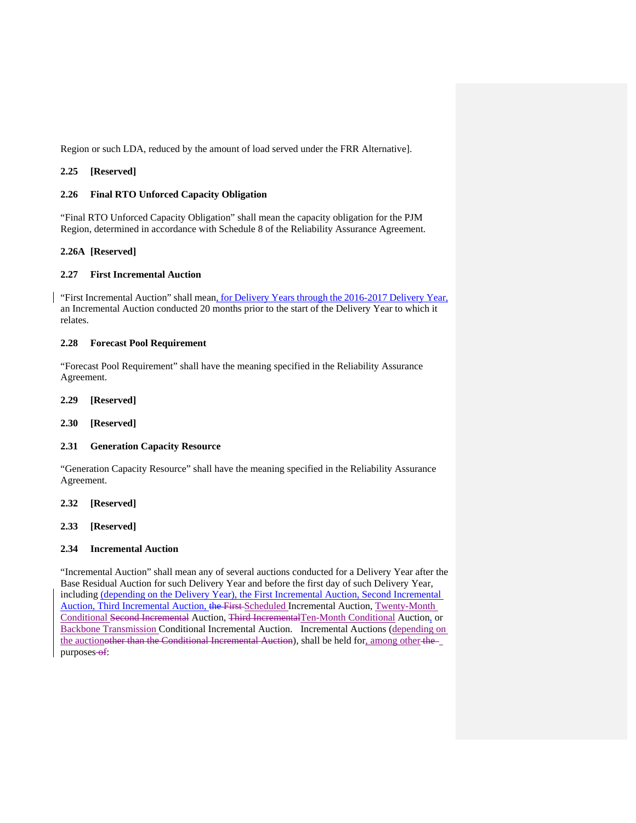Region or such LDA, reduced by the amount of load served under the FRR Alternative].

### **2.25 [Reserved]**

### **2.26 Final RTO Unforced Capacity Obligation**

"Final RTO Unforced Capacity Obligation" shall mean the capacity obligation for the PJM Region, determined in accordance with Schedule 8 of the Reliability Assurance Agreement.

## **2.26A [Reserved]**

## **2.27 First Incremental Auction**

"First Incremental Auction" shall mean, for Delivery Years through the 2016-2017 Delivery Year, an Incremental Auction conducted 20 months prior to the start of the Delivery Year to which it relates.

## **2.28 Forecast Pool Requirement**

"Forecast Pool Requirement" shall have the meaning specified in the Reliability Assurance Agreement.

**2.29 [Reserved]** 

**2.30 [Reserved]** 

#### **2.31 Generation Capacity Resource**

"Generation Capacity Resource" shall have the meaning specified in the Reliability Assurance Agreement.

**2.32 [Reserved]** 

## **2.33 [Reserved]**

## **2.34 Incremental Auction**

"Incremental Auction" shall mean any of several auctions conducted for a Delivery Year after the Base Residual Auction for such Delivery Year and before the first day of such Delivery Year, including (depending on the Delivery Year), the First Incremental Auction, Second Incremental Auction, Third Incremental Auction, the First Scheduled Incremental Auction, Twenty-Month Conditional Second Incremental Auction, Third IncrementalTen-Month Conditional Auction, or Backbone Transmission Conditional Incremental Auction. Incremental Auctions (depending on the auctionother than the Conditional Incremental Auction), shall be held for, among other the purposes-of: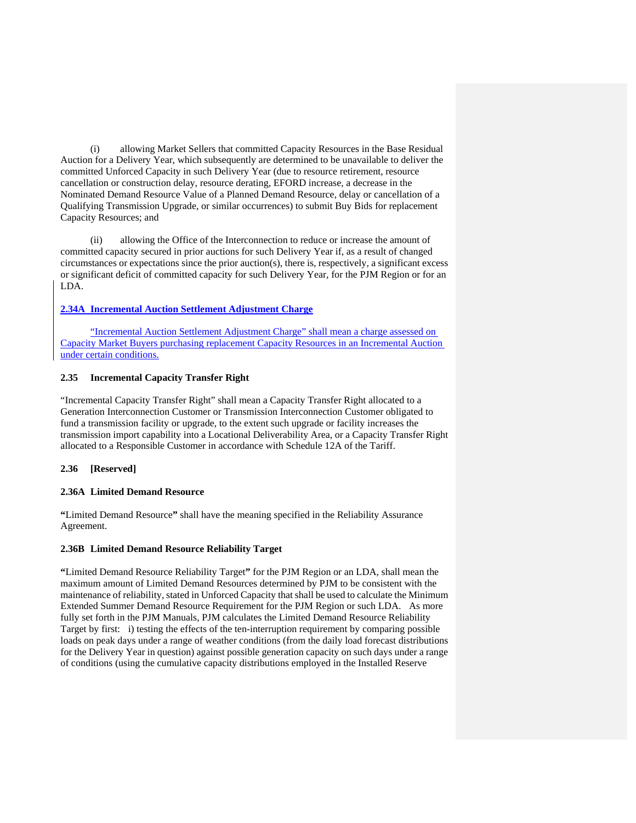(i) allowing Market Sellers that committed Capacity Resources in the Base Residual Auction for a Delivery Year, which subsequently are determined to be unavailable to deliver the committed Unforced Capacity in such Delivery Year (due to resource retirement, resource cancellation or construction delay, resource derating, EFORD increase, a decrease in the Nominated Demand Resource Value of a Planned Demand Resource, delay or cancellation of a Qualifying Transmission Upgrade, or similar occurrences) to submit Buy Bids for replacement Capacity Resources; and

(ii) allowing the Office of the Interconnection to reduce or increase the amount of committed capacity secured in prior auctions for such Delivery Year if, as a result of changed circumstances or expectations since the prior auction(s), there is, respectively, a significant excess or significant deficit of committed capacity for such Delivery Year, for the PJM Region or for an LDA.

## **2.34A Incremental Auction Settlement Adjustment Charge**

"Incremental Auction Settlement Adjustment Charge" shall mean a charge assessed on Capacity Market Buyers purchasing replacement Capacity Resources in an Incremental Auction under certain conditions.

## **2.35 Incremental Capacity Transfer Right**

"Incremental Capacity Transfer Right" shall mean a Capacity Transfer Right allocated to a Generation Interconnection Customer or Transmission Interconnection Customer obligated to fund a transmission facility or upgrade, to the extent such upgrade or facility increases the transmission import capability into a Locational Deliverability Area, or a Capacity Transfer Right allocated to a Responsible Customer in accordance with Schedule 12A of the Tariff.

## **2.36 [Reserved]**

#### **2.36A Limited Demand Resource**

**"**Limited Demand Resource**"** shall have the meaning specified in the Reliability Assurance Agreement.

#### **2.36B Limited Demand Resource Reliability Target**

**"**Limited Demand Resource Reliability Target**"** for the PJM Region or an LDA, shall mean the maximum amount of Limited Demand Resources determined by PJM to be consistent with the maintenance of reliability, stated in Unforced Capacity that shall be used to calculate the Minimum Extended Summer Demand Resource Requirement for the PJM Region or such LDA. As more fully set forth in the PJM Manuals, PJM calculates the Limited Demand Resource Reliability Target by first: i) testing the effects of the ten-interruption requirement by comparing possible loads on peak days under a range of weather conditions (from the daily load forecast distributions for the Delivery Year in question) against possible generation capacity on such days under a range of conditions (using the cumulative capacity distributions employed in the Installed Reserve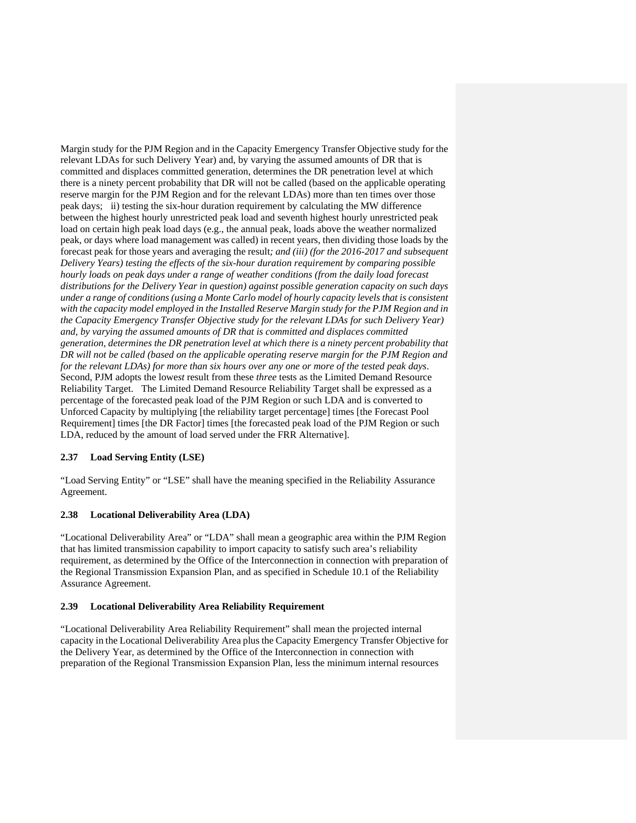Margin study for the PJM Region and in the Capacity Emergency Transfer Objective study for the relevant LDAs for such Delivery Year) and, by varying the assumed amounts of DR that is committed and displaces committed generation, determines the DR penetration level at which there is a ninety percent probability that DR will not be called (based on the applicable operating reserve margin for the PJM Region and for the relevant LDAs) more than ten times over those peak days; ii) testing the six-hour duration requirement by calculating the MW difference between the highest hourly unrestricted peak load and seventh highest hourly unrestricted peak load on certain high peak load days (e.g., the annual peak, loads above the weather normalized peak, or days where load management was called) in recent years, then dividing those loads by the forecast peak for those years and averaging the result*; and (iii) (for the 2016-2017 and subsequent Delivery Years) testing the effects of the six-hour duration requirement by comparing possible hourly loads on peak days under a range of weather conditions (from the daily load forecast distributions for the Delivery Year in question) against possible generation capacity on such days under a range of conditions (using a Monte Carlo model of hourly capacity levels that is consistent with the capacity model employed in the Installed Reserve Margin study for the PJM Region and in the Capacity Emergency Transfer Objective study for the relevant LDAs for such Delivery Year)*  and, by varying the assumed amounts of DR that is committed and displaces committed *generation, determines the DR penetration level at which there is a ninety percent probability that DR will not be called (based on the applicable operating reserve margin for the PJM Region and for the relevant LDAs) for more than six hours over any one or more of the tested peak days*. Second, PJM adopts the lowe*st* result from these *three* tests as the Limited Demand Resource Reliability Target. The Limited Demand Resource Reliability Target shall be expressed as a percentage of the forecasted peak load of the PJM Region or such LDA and is converted to Unforced Capacity by multiplying [the reliability target percentage] times [the Forecast Pool Requirement] times [the DR Factor] times [the forecasted peak load of the PJM Region or such LDA, reduced by the amount of load served under the FRR Alternative].

## **2.37 Load Serving Entity (LSE)**

"Load Serving Entity" or "LSE" shall have the meaning specified in the Reliability Assurance Agreement.

## **2.38 Locational Deliverability Area (LDA)**

"Locational Deliverability Area" or "LDA" shall mean a geographic area within the PJM Region that has limited transmission capability to import capacity to satisfy such area's reliability requirement, as determined by the Office of the Interconnection in connection with preparation of the Regional Transmission Expansion Plan, and as specified in Schedule 10.1 of the Reliability Assurance Agreement.

## **2.39 Locational Deliverability Area Reliability Requirement**

"Locational Deliverability Area Reliability Requirement" shall mean the projected internal capacity in the Locational Deliverability Area plus the Capacity Emergency Transfer Objective for the Delivery Year, as determined by the Office of the Interconnection in connection with preparation of the Regional Transmission Expansion Plan, less the minimum internal resources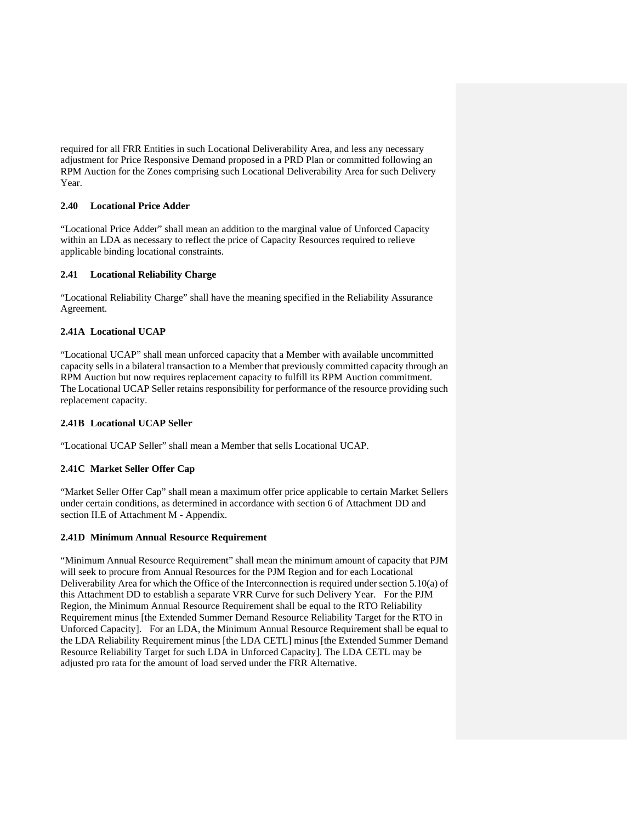required for all FRR Entities in such Locational Deliverability Area, and less any necessary adjustment for Price Responsive Demand proposed in a PRD Plan or committed following an RPM Auction for the Zones comprising such Locational Deliverability Area for such Delivery Year.

## **2.40 Locational Price Adder**

"Locational Price Adder" shall mean an addition to the marginal value of Unforced Capacity within an LDA as necessary to reflect the price of Capacity Resources required to relieve applicable binding locational constraints.

## **2.41 Locational Reliability Charge**

"Locational Reliability Charge" shall have the meaning specified in the Reliability Assurance Agreement.

### **2.41A Locational UCAP**

"Locational UCAP" shall mean unforced capacity that a Member with available uncommitted capacity sells in a bilateral transaction to a Member that previously committed capacity through an RPM Auction but now requires replacement capacity to fulfill its RPM Auction commitment. The Locational UCAP Seller retains responsibility for performance of the resource providing such replacement capacity.

### **2.41B Locational UCAP Seller**

"Locational UCAP Seller" shall mean a Member that sells Locational UCAP.

#### **2.41C Market Seller Offer Cap**

"Market Seller Offer Cap" shall mean a maximum offer price applicable to certain Market Sellers under certain conditions, as determined in accordance with section 6 of Attachment DD and section II.E of Attachment M - Appendix.

#### **2.41D Minimum Annual Resource Requirement**

"Minimum Annual Resource Requirement" shall mean the minimum amount of capacity that PJM will seek to procure from Annual Resources for the PJM Region and for each Locational Deliverability Area for which the Office of the Interconnection is required under section 5.10(a) of this Attachment DD to establish a separate VRR Curve for such Delivery Year. For the PJM Region, the Minimum Annual Resource Requirement shall be equal to the RTO Reliability Requirement minus [the Extended Summer Demand Resource Reliability Target for the RTO in Unforced Capacity]. For an LDA, the Minimum Annual Resource Requirement shall be equal to the LDA Reliability Requirement minus [the LDA CETL] minus [the Extended Summer Demand Resource Reliability Target for such LDA in Unforced Capacity]. The LDA CETL may be adjusted pro rata for the amount of load served under the FRR Alternative.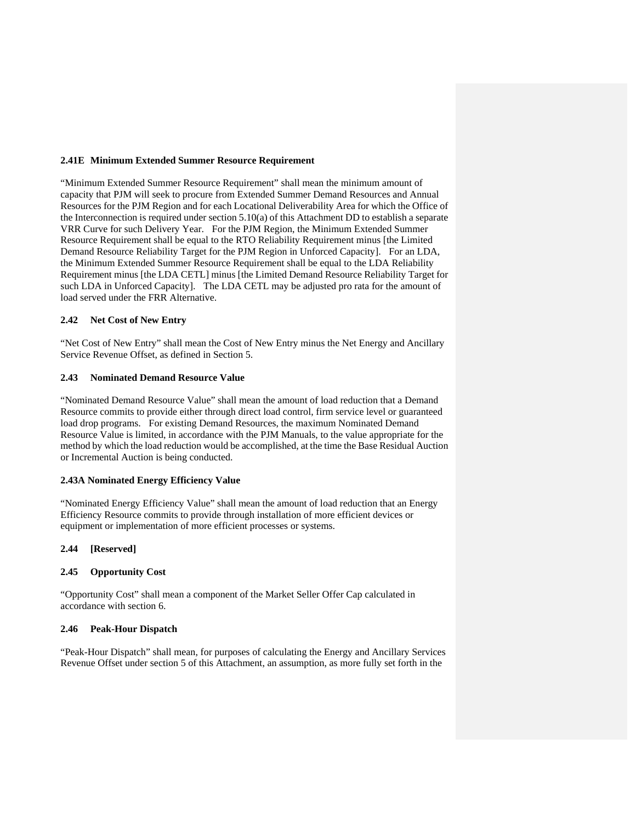### **2.41E Minimum Extended Summer Resource Requirement**

"Minimum Extended Summer Resource Requirement" shall mean the minimum amount of capacity that PJM will seek to procure from Extended Summer Demand Resources and Annual Resources for the PJM Region and for each Locational Deliverability Area for which the Office of the Interconnection is required under section 5.10(a) of this Attachment DD to establish a separate VRR Curve for such Delivery Year. For the PJM Region, the Minimum Extended Summer Resource Requirement shall be equal to the RTO Reliability Requirement minus [the Limited Demand Resource Reliability Target for the PJM Region in Unforced Capacity]. For an LDA, the Minimum Extended Summer Resource Requirement shall be equal to the LDA Reliability Requirement minus [the LDA CETL] minus [the Limited Demand Resource Reliability Target for such LDA in Unforced Capacity]. The LDA CETL may be adjusted pro rata for the amount of load served under the FRR Alternative.

#### **2.42 Net Cost of New Entry**

"Net Cost of New Entry" shall mean the Cost of New Entry minus the Net Energy and Ancillary Service Revenue Offset, as defined in Section 5.

#### **2.43 Nominated Demand Resource Value**

"Nominated Demand Resource Value" shall mean the amount of load reduction that a Demand Resource commits to provide either through direct load control, firm service level or guaranteed load drop programs. For existing Demand Resources, the maximum Nominated Demand Resource Value is limited, in accordance with the PJM Manuals, to the value appropriate for the method by which the load reduction would be accomplished, at the time the Base Residual Auction or Incremental Auction is being conducted.

#### **2.43A Nominated Energy Efficiency Value**

"Nominated Energy Efficiency Value" shall mean the amount of load reduction that an Energy Efficiency Resource commits to provide through installation of more efficient devices or equipment or implementation of more efficient processes or systems.

#### **2.44 [Reserved]**

#### **2.45 Opportunity Cost**

"Opportunity Cost" shall mean a component of the Market Seller Offer Cap calculated in accordance with section 6.

#### **2.46 Peak-Hour Dispatch**

"Peak-Hour Dispatch" shall mean, for purposes of calculating the Energy and Ancillary Services Revenue Offset under section 5 of this Attachment, an assumption, as more fully set forth in the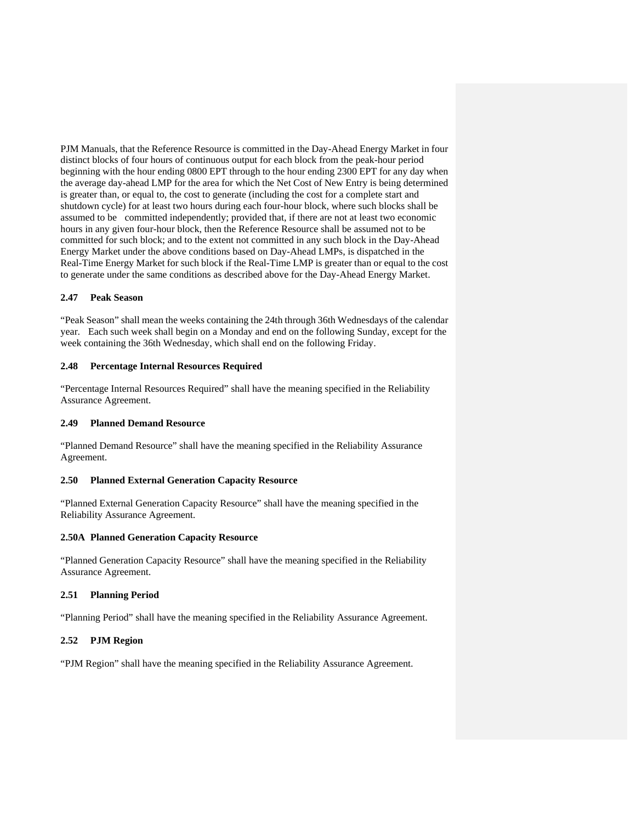PJM Manuals, that the Reference Resource is committed in the Day-Ahead Energy Market in four distinct blocks of four hours of continuous output for each block from the peak-hour period beginning with the hour ending 0800 EPT through to the hour ending 2300 EPT for any day when the average day-ahead LMP for the area for which the Net Cost of New Entry is being determined is greater than, or equal to, the cost to generate (including the cost for a complete start and shutdown cycle) for at least two hours during each four-hour block, where such blocks shall be assumed to be committed independently; provided that, if there are not at least two economic hours in any given four-hour block, then the Reference Resource shall be assumed not to be committed for such block; and to the extent not committed in any such block in the Day-Ahead Energy Market under the above conditions based on Day-Ahead LMPs, is dispatched in the Real-Time Energy Market for such block if the Real-Time LMP is greater than or equal to the cost to generate under the same conditions as described above for the Day-Ahead Energy Market.

### **2.47 Peak Season**

"Peak Season" shall mean the weeks containing the 24th through 36th Wednesdays of the calendar year. Each such week shall begin on a Monday and end on the following Sunday, except for the week containing the 36th Wednesday, which shall end on the following Friday.

## **2.48 Percentage Internal Resources Required**

"Percentage Internal Resources Required" shall have the meaning specified in the Reliability Assurance Agreement.

### **2.49 Planned Demand Resource**

"Planned Demand Resource" shall have the meaning specified in the Reliability Assurance Agreement.

## **2.50 Planned External Generation Capacity Resource**

"Planned External Generation Capacity Resource" shall have the meaning specified in the Reliability Assurance Agreement.

#### **2.50A Planned Generation Capacity Resource**

"Planned Generation Capacity Resource" shall have the meaning specified in the Reliability Assurance Agreement.

## **2.51 Planning Period**

"Planning Period" shall have the meaning specified in the Reliability Assurance Agreement.

# **2.52 PJM Region**

"PJM Region" shall have the meaning specified in the Reliability Assurance Agreement.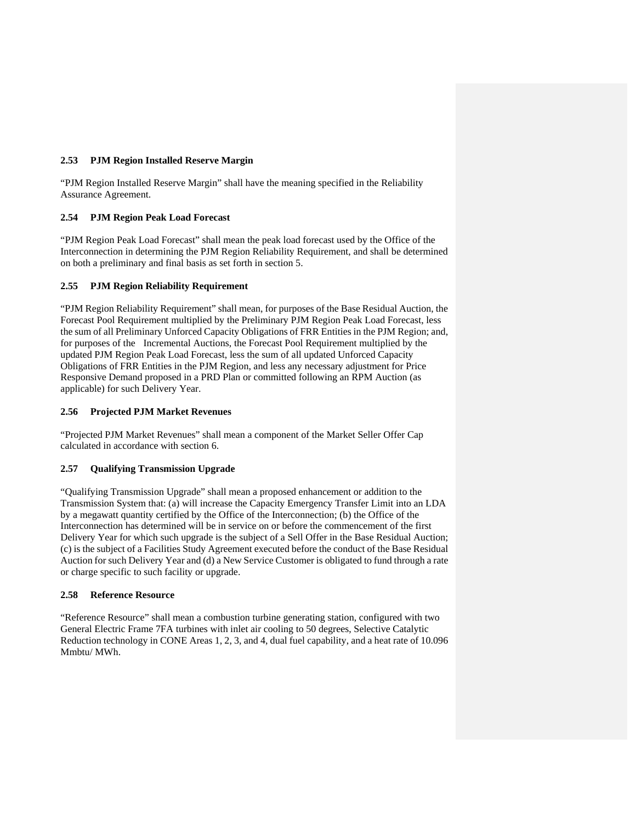## **2.53 PJM Region Installed Reserve Margin**

"PJM Region Installed Reserve Margin" shall have the meaning specified in the Reliability Assurance Agreement.

## **2.54 PJM Region Peak Load Forecast**

"PJM Region Peak Load Forecast" shall mean the peak load forecast used by the Office of the Interconnection in determining the PJM Region Reliability Requirement, and shall be determined on both a preliminary and final basis as set forth in section 5.

## **2.55 PJM Region Reliability Requirement**

"PJM Region Reliability Requirement" shall mean, for purposes of the Base Residual Auction, the Forecast Pool Requirement multiplied by the Preliminary PJM Region Peak Load Forecast, less the sum of all Preliminary Unforced Capacity Obligations of FRR Entities in the PJM Region; and, for purposes of the Incremental Auctions, the Forecast Pool Requirement multiplied by the updated PJM Region Peak Load Forecast, less the sum of all updated Unforced Capacity Obligations of FRR Entities in the PJM Region, and less any necessary adjustment for Price Responsive Demand proposed in a PRD Plan or committed following an RPM Auction (as applicable) for such Delivery Year.

## **2.56 Projected PJM Market Revenues**

"Projected PJM Market Revenues" shall mean a component of the Market Seller Offer Cap calculated in accordance with section 6.

## **2.57 Qualifying Transmission Upgrade**

"Qualifying Transmission Upgrade" shall mean a proposed enhancement or addition to the Transmission System that: (a) will increase the Capacity Emergency Transfer Limit into an LDA by a megawatt quantity certified by the Office of the Interconnection; (b) the Office of the Interconnection has determined will be in service on or before the commencement of the first Delivery Year for which such upgrade is the subject of a Sell Offer in the Base Residual Auction; (c) is the subject of a Facilities Study Agreement executed before the conduct of the Base Residual Auction for such Delivery Year and (d) a New Service Customer is obligated to fund through a rate or charge specific to such facility or upgrade.

#### **2.58 Reference Resource**

"Reference Resource" shall mean a combustion turbine generating station, configured with two General Electric Frame 7FA turbines with inlet air cooling to 50 degrees, Selective Catalytic Reduction technology in CONE Areas 1, 2, 3, and 4, dual fuel capability, and a heat rate of 10.096 Mmbtu/ MWh.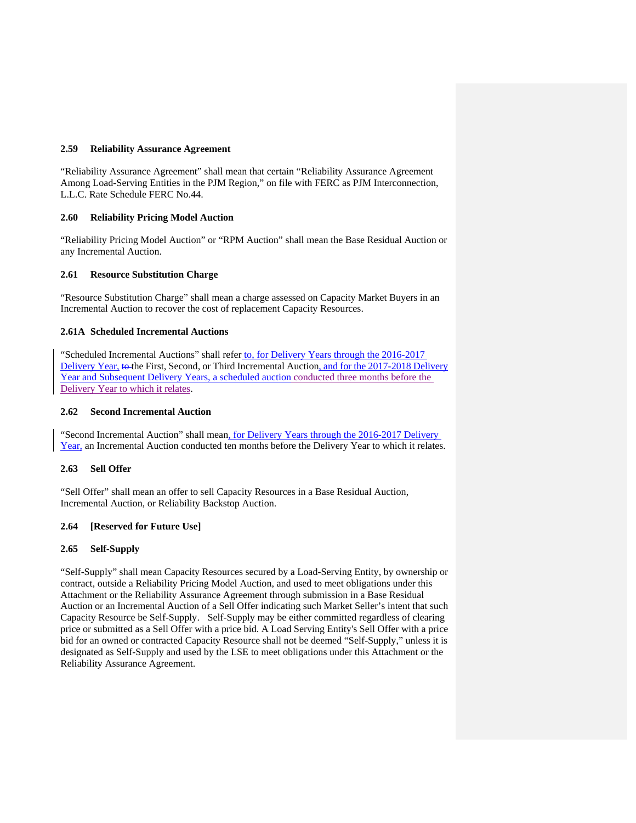#### **2.59 Reliability Assurance Agreement**

"Reliability Assurance Agreement" shall mean that certain "Reliability Assurance Agreement Among Load-Serving Entities in the PJM Region," on file with FERC as PJM Interconnection, L.L.C. Rate Schedule FERC No.44.

## **2.60 Reliability Pricing Model Auction**

"Reliability Pricing Model Auction" or "RPM Auction" shall mean the Base Residual Auction or any Incremental Auction.

### **2.61 Resource Substitution Charge**

"Resource Substitution Charge" shall mean a charge assessed on Capacity Market Buyers in an Incremental Auction to recover the cost of replacement Capacity Resources.

### **2.61A Scheduled Incremental Auctions**

"Scheduled Incremental Auctions" shall refer to, for Delivery Years through the 2016-2017 Delivery Year, to the First, Second, or Third Incremental Auction, and for the 2017-2018 Delivery Year and Subsequent Delivery Years, a scheduled auction conducted three months before the Delivery Year to which it relates.

### **2.62 Second Incremental Auction**

"Second Incremental Auction" shall mean, for Delivery Years through the 2016-2017 Delivery Year, an Incremental Auction conducted ten months before the Delivery Year to which it relates.

## **2.63 Sell Offer**

"Sell Offer" shall mean an offer to sell Capacity Resources in a Base Residual Auction, Incremental Auction, or Reliability Backstop Auction.

#### **2.64 [Reserved for Future Use]**

## **2.65 Self-Supply**

"Self-Supply" shall mean Capacity Resources secured by a Load-Serving Entity, by ownership or contract, outside a Reliability Pricing Model Auction, and used to meet obligations under this Attachment or the Reliability Assurance Agreement through submission in a Base Residual Auction or an Incremental Auction of a Sell Offer indicating such Market Seller's intent that such Capacity Resource be Self-Supply. Self-Supply may be either committed regardless of clearing price or submitted as a Sell Offer with a price bid. A Load Serving Entity's Sell Offer with a price bid for an owned or contracted Capacity Resource shall not be deemed "Self-Supply," unless it is designated as Self-Supply and used by the LSE to meet obligations under this Attachment or the Reliability Assurance Agreement.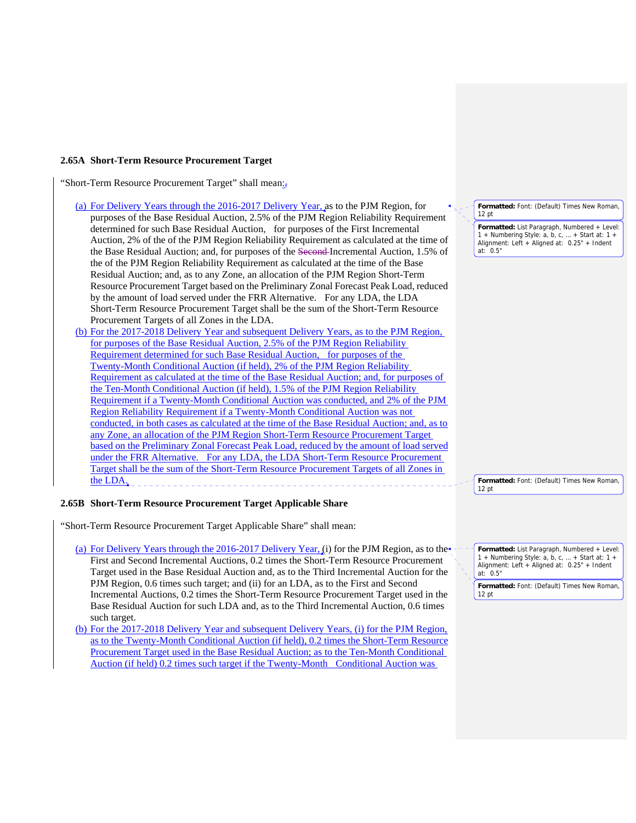#### **2.65A Short-Term Resource Procurement Target**

"Short-Term Resource Procurement Target" shall mean:

- (a) For Delivery Years through the 2016-2017 Delivery Year, as to the PJM Region, for purposes of the Base Residual Auction, 2.5% of the PJM Region Reliability Requirement determined for such Base Residual Auction, for purposes of the First Incremental Auction, 2% of the of the PJM Region Reliability Requirement as calculated at the time of the Base Residual Auction; and, for purposes of the Second Incremental Auction, 1.5% of the of the PJM Region Reliability Requirement as calculated at the time of the Base Residual Auction; and, as to any Zone, an allocation of the PJM Region Short-Term Resource Procurement Target based on the Preliminary Zonal Forecast Peak Load, reduced by the amount of load served under the FRR Alternative. For any LDA, the LDA Short-Term Resource Procurement Target shall be the sum of the Short-Term Resource Procurement Targets of all Zones in the LDA.
- (b) For the 2017-2018 Delivery Year and subsequent Delivery Years, as to the PJM Region, for purposes of the Base Residual Auction, 2.5% of the PJM Region Reliability Requirement determined for such Base Residual Auction, for purposes of the Twenty-Month Conditional Auction (if held), 2% of the PJM Region Reliability Requirement as calculated at the time of the Base Residual Auction; and, for purposes of the Ten-Month Conditional Auction (if held), 1.5% of the PJM Region Reliability Requirement if a Twenty-Month Conditional Auction was conducted, and 2% of the PJM Region Reliability Requirement if a Twenty-Month Conditional Auction was not conducted, in both cases as calculated at the time of the Base Residual Auction; and, as to any Zone, an allocation of the PJM Region Short-Term Resource Procurement Target based on the Preliminary Zonal Forecast Peak Load, reduced by the amount of load served under the FRR Alternative. For any LDA, the LDA Short-Term Resource Procurement Target shall be the sum of the Short-Term Resource Procurement Targets of all Zones in the LDA.

#### **2.65B Short-Term Resource Procurement Target Applicable Share**

"Short-Term Resource Procurement Target Applicable Share" shall mean:

(a) For Delivery Years through the 2016-2017 Delivery Year, (i) for the PJM Region, as to the First and Second Incremental Auctions, 0.2 times the Short-Term Resource Procurement Target used in the Base Residual Auction and, as to the Third Incremental Auction for the PJM Region, 0.6 times such target; and (ii) for an LDA, as to the First and Second Incremental Auctions, 0.2 times the Short-Term Resource Procurement Target used in the Base Residual Auction for such LDA and, as to the Third Incremental Auction, 0.6 times such target.

(b) For the 2017-2018 Delivery Year and subsequent Delivery Years, (i) for the PJM Region, as to the Twenty-Month Conditional Auction (if held), 0.2 times the Short-Term Resource Procurement Target used in the Base Residual Auction; as to the Ten-Month Conditional Auction (if held) 0.2 times such target if the Twenty-Month Conditional Auction was

**Formatted:** Font: (Default) Times New Roman, 12 pt

**Formatted:** List Paragraph, Numbered + Level: 1 + Numbering Style: a, b, c, … + Start at: 1 + Alignment: Left + Aligned at: 0.25" + Indent  $at: 0.5"$ 

**Formatted:** Font: (Default) Times New Roman, 12 pt

**Formatted:** List Paragraph, Numbered + Level: 1 + Numbering Style: a, b, c, … + Start at: 1 + Alignment: Left + Aligned at: 0.25" + Indent at: 0.5"

**Formatted:** Font: (Default) Times New Roman, 12 pt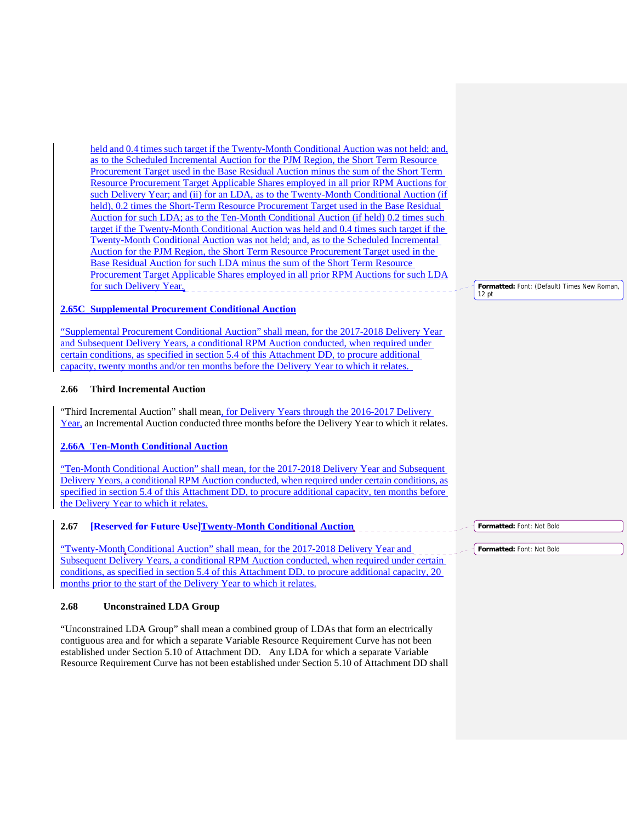held and 0.4 times such target if the Twenty-Month Conditional Auction was not held; and, as to the Scheduled Incremental Auction for the PJM Region, the Short Term Resource Procurement Target used in the Base Residual Auction minus the sum of the Short Term Resource Procurement Target Applicable Shares employed in all prior RPM Auctions for such Delivery Year; and (ii) for an LDA, as to the Twenty-Month Conditional Auction (if held), 0.2 times the Short-Term Resource Procurement Target used in the Base Residual Auction for such LDA; as to the Ten-Month Conditional Auction (if held) 0.2 times such target if the Twenty-Month Conditional Auction was held and 0.4 times such target if the Twenty-Month Conditional Auction was not held; and, as to the Scheduled Incremental Auction for the PJM Region, the Short Term Resource Procurement Target used in the Base Residual Auction for such LDA minus the sum of the Short Term Resource Procurement Target Applicable Shares employed in all prior RPM Auctions for such LDA for such Delivery Year.

### **2.65C Supplemental Procurement Conditional Auction**

"Supplemental Procurement Conditional Auction" shall mean, for the 2017-2018 Delivery Year and Subsequent Delivery Years, a conditional RPM Auction conducted, when required under certain conditions, as specified in section 5.4 of this Attachment DD, to procure additional capacity, twenty months and/or ten months before the Delivery Year to which it relates.

## **2.66 Third Incremental Auction**

"Third Incremental Auction" shall mean, for Delivery Years through the 2016-2017 Delivery Year, an Incremental Auction conducted three months before the Delivery Year to which it relates.

## **2.66A Ten-Month Conditional Auction**

"Ten-Month Conditional Auction" shall mean, for the 2017-2018 Delivery Year and Subsequent Delivery Years, a conditional RPM Auction conducted, when required under certain conditions, as specified in section 5.4 of this Attachment DD, to procure additional capacity, ten months before the Delivery Year to which it relates.

# **2.67 [Reserved for Future Use]Twenty-Month Conditional Auction**

"Twenty-Month Conditional Auction" shall mean, for the 2017-2018 Delivery Year and Subsequent Delivery Years, a conditional RPM Auction conducted, when required under certain conditions, as specified in section 5.4 of this Attachment DD, to procure additional capacity, 20 months prior to the start of the Delivery Year to which it relates.

## **2.68 Unconstrained LDA Group**

"Unconstrained LDA Group" shall mean a combined group of LDAs that form an electrically contiguous area and for which a separate Variable Resource Requirement Curve has not been established under Section 5.10 of Attachment DD. Any LDA for which a separate Variable Resource Requirement Curve has not been established under Section 5.10 of Attachment DD shall **Formatted:** Font: (Default) Times New Roman, 12 pt

**Formatted:** Font: Not Bold

**Formatted:** Font: Not Bold